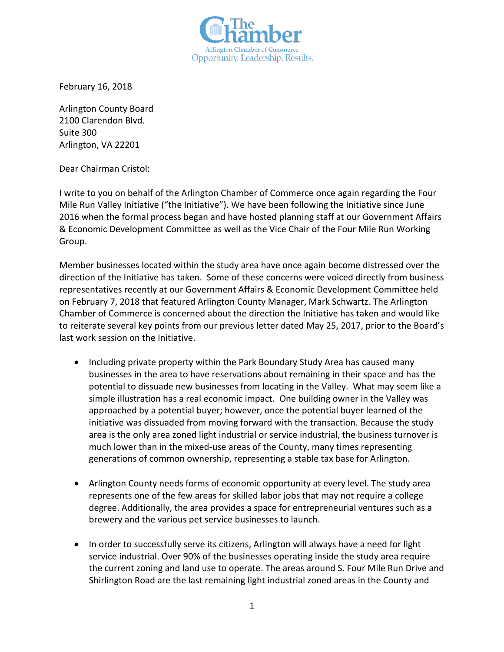

February 16, 2018

Arlington County Board 2100 Clarendon Blvd. Suite 300 Arlington, VA 22201

Dear Chairman Cristol:

I write to you on behalf of the Arlington Chamber of Commerce once again regarding the Four Mile Run Valley Initiative ("the Initiative"). We have been following the Initiative since June 2016 when the formal process began and have hosted planning staff at our Government Affairs & Economic Development Committee as well as the Vice Chair of the Four Mile Run Working Group.

Member businesses located within the study area have once again become distressed over the direction of the Initiative has taken. Some of these concerns were voiced directly from business representatives recently at our Government Affairs & Economic Development Committee held on February 7, 2018 that featured Arlington County Manager, Mark Schwartz. The Arlington Chamber of Commerce is concerned about the direction the Initiative has taken and would like to reiterate several key points from our previous letter dated May 25, 2017, prior to the Board's last work session on the Initiative.

- Including private property within the Park Boundary Study Area has caused many businesses in the area to have reservations about remaining in their space and has the potential to dissuade new businesses from locating in the Valley. What may seem like a simple illustration has a real economic impact. One building owner in the Valley was approached by a potential buyer; however, once the potential buyer learned of the initiative was dissuaded from moving forward with the transaction. Because the study area is the only area zoned light industrial or service industrial, the business turnover is much lower than in the mixed-use areas of the County, many times representing generations of common ownership, representing a stable tax base for Arlington.
- Arlington County needs forms of economic opportunity at every level. The study area represents one of the few areas for skilled labor jobs that may not require a college degree. Additionally, the area provides a space for entrepreneurial ventures such as a brewery and the various pet service businesses to launch.
- In order to successfully serve its citizens, Arlington will always have a need for light service industrial. Over 90% of the businesses operating inside the study area require the current zoning and land use to operate. The areas around S. Four Mile Run Drive and Shirlington Road are the last remaining light industrial zoned areas in the County and